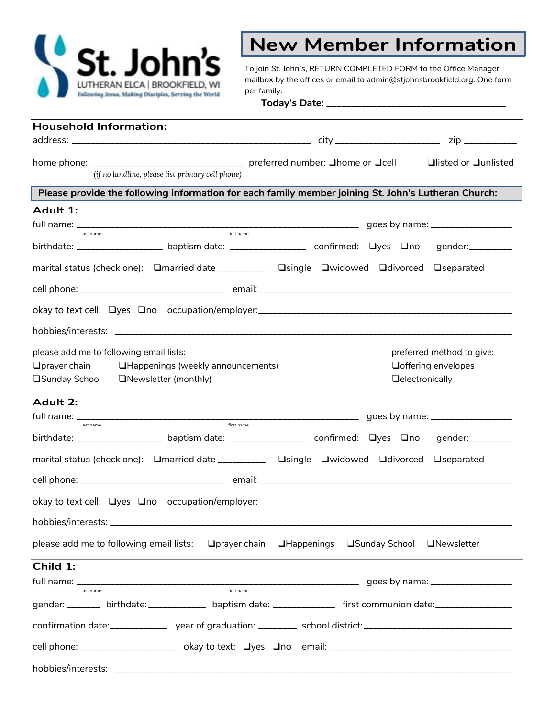

## **New Member Information**

To join St. John's, RETURN COMPLETED FORM to the Office Manager mailbox by the offices or email to admin@stjohnsbrookfield.org. One form per family.

**Today's Date: \_\_\_\_\_\_\_\_\_\_\_\_\_\_\_\_\_\_\_\_\_\_\_\_\_\_\_\_\_\_\_\_\_\_\_\_**

| <b>Household Information:</b>                                                                                                         |                        |                                    |
|---------------------------------------------------------------------------------------------------------------------------------------|------------------------|------------------------------------|
|                                                                                                                                       |                        |                                    |
|                                                                                                                                       |                        |                                    |
| (if no landline, please list primary cell phone)                                                                                      |                        |                                    |
| Please provide the following information for each family member joining St. John's Lutheran Church:                                   |                        |                                    |
| Adult 1:                                                                                                                              |                        |                                    |
| first name                                                                                                                            |                        |                                    |
| last name<br>birthdate: ________________________baptism date: ________________________ confirmed: Uyes Uno gender: __________         |                        |                                    |
| marital status (check one): □married date ___________ □single □widowed □divorced □separated                                           |                        |                                    |
|                                                                                                                                       |                        |                                    |
|                                                                                                                                       |                        |                                    |
|                                                                                                                                       |                        |                                    |
| please add me to following email lists:                                                                                               |                        | preferred method to give:          |
| <b>IHappenings (weekly announcements)</b><br>$\Box$ prayer chain                                                                      |                        | <b>O</b> offering envelopes        |
| □Sunday School<br>□Newsletter (monthly)                                                                                               | <b>Qelectronically</b> |                                    |
| Adult 2:                                                                                                                              |                        |                                    |
|                                                                                                                                       |                        |                                    |
| first name<br>last name<br>birthdate: ______________________ baptism date: ____________________ confirmed: Uyes Uno gender: _________ |                        |                                    |
| marital status (check one):  Qmarried date __________  Qsingle  Qwidowed  Qdivorced  Qseparated                                       |                        |                                    |
|                                                                                                                                       |                        |                                    |
|                                                                                                                                       |                        |                                    |
| hobbies/interests:                                                                                                                    |                        |                                    |
| please add me to following email lists: □ Drayer chain □ Happenings □ Sunday School                                                   |                        | <b>ONewsletter</b>                 |
| Child 1:                                                                                                                              |                        |                                    |
| first name                                                                                                                            |                        | goes by name: ____________________ |
| last name<br>gender: ________ birthdate: _____________ baptism date: _____________ first communion date: __________________           |                        |                                    |
|                                                                                                                                       |                        |                                    |
|                                                                                                                                       |                        |                                    |
|                                                                                                                                       |                        |                                    |